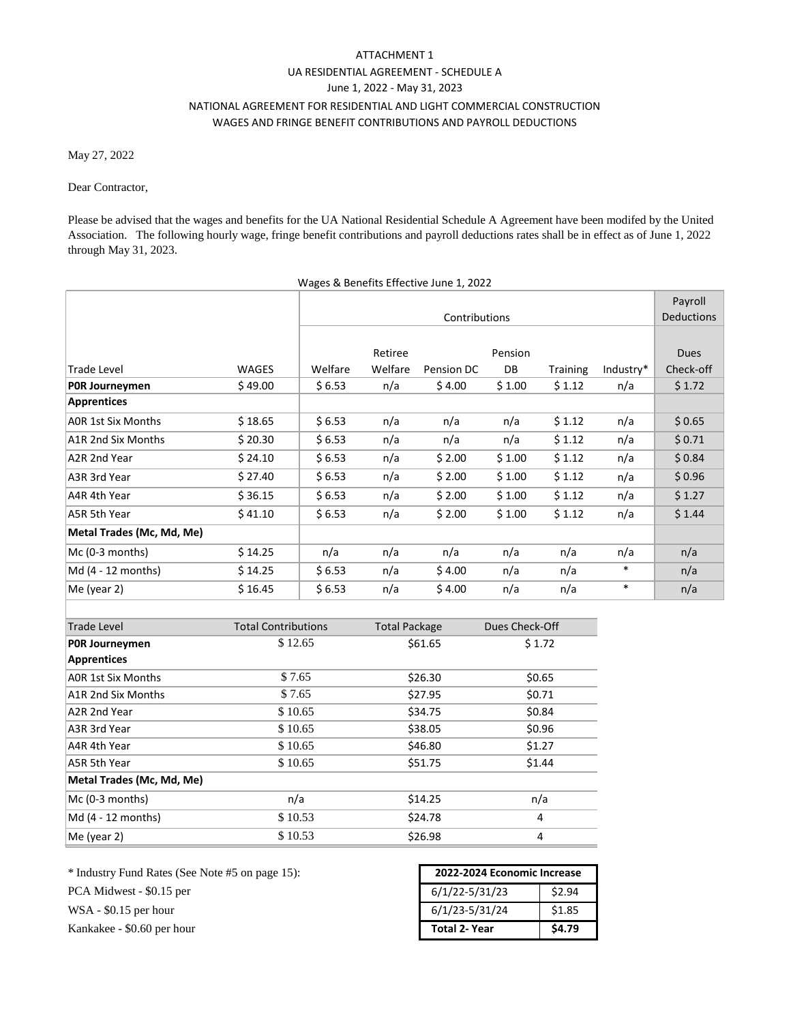## ATTACHMENT 1 UA RESIDENTIAL AGREEMENT ‐ SCHEDULE A June 1, 2022 ‐ May 31, 2023 NATIONAL AGREEMENT FOR RESIDENTIAL AND LIGHT COMMERCIAL CONSTRUCTION WAGES AND FRINGE BENEFIT CONTRIBUTIONS AND PAYROLL DEDUCTIONS

May 27, 2022

## Dear Contractor,

Please be advised that the wages and benefits for the UA National Residential Schedule A Agreement have been modifed by the United Association. The following hourly wage, fringe benefit contributions and payroll deductions rates shall be in effect as of June 1, 2022 through May 31, 2023.

|                           |                            |               |                      | Wages & Benefits Effective June 1, 2022 |                |          |                   |             |
|---------------------------|----------------------------|---------------|----------------------|-----------------------------------------|----------------|----------|-------------------|-------------|
|                           |                            |               |                      |                                         |                |          | Payroll           |             |
|                           |                            | Contributions |                      |                                         |                |          | <b>Deductions</b> |             |
|                           |                            |               |                      |                                         |                |          |                   |             |
|                           |                            |               | Retiree              |                                         | Pension        |          |                   | <b>Dues</b> |
| Trade Level               | WAGES                      | Welfare       | Welfare              | Pension DC                              | DB             | Training | Industry*         | Check-off   |
| POR Journeymen            | \$49.00                    | \$6.53        | n/a                  | \$4.00                                  | \$1.00         | \$1.12   | n/a               | \$1.72      |
| Apprentices               |                            |               |                      |                                         |                |          |                   |             |
| <b>AOR 1st Six Months</b> | \$18.65                    | \$6.53        | n/a                  | n/a                                     | n/a            | \$1.12   | n/a               | \$0.65      |
| A1R 2nd Six Months        | \$20.30                    | \$6.53        | n/a                  | n/a                                     | n/a            | \$1.12   | n/a               | \$0.71      |
| A2R 2nd Year              | \$24.10                    | \$6.53        | n/a                  | \$2.00                                  | \$1.00         | \$1.12   | n/a               | \$0.84      |
| A3R 3rd Year              | \$27.40                    | \$6.53        | n/a                  | \$2.00                                  | \$1.00         | \$1.12   | n/a               | \$0.96      |
| A4R 4th Year              | \$36.15                    | \$6.53        | n/a                  | \$2.00                                  | \$1.00         | \$1.12   | n/a               | \$1.27      |
| A5R 5th Year              | \$41.10                    | \$6.53        | n/a                  | \$2.00                                  | \$1.00         | \$1.12   | n/a               | \$1.44      |
| Metal Trades (Mc, Md, Me) |                            |               |                      |                                         |                |          |                   |             |
| Mc (0-3 months)           | \$14.25                    | n/a           | n/a                  | n/a                                     | n/a            | n/a      | n/a               | n/a         |
| Md (4 - 12 months)        | \$14.25                    | \$6.53        | n/a                  | \$4.00                                  | n/a            | n/a      | $\ast$            | n/a         |
| Me (year 2)               | \$16.45                    | \$6.53        | n/a                  | \$4.00                                  | n/a            | n/a      | $\ast$            | n/a         |
|                           |                            |               |                      |                                         |                |          |                   |             |
| <b>Trade Level</b>        | <b>Total Contributions</b> |               | <b>Total Package</b> |                                         | Dues Check-Off |          |                   |             |
| POR Journeymen            | \$12.65                    |               | \$61.65              |                                         | \$1.72         |          |                   |             |
| <b>Apprentices</b>        |                            |               |                      |                                         |                |          |                   |             |
| <b>AOR 1st Six Months</b> | \$7.65                     |               | \$26.30              |                                         | \$0.65         |          |                   |             |
| A1R 2nd Six Months        | \$7.65                     |               | \$27.95              |                                         | \$0.71         |          |                   |             |
| A2R 2nd Year              | \$10.65                    |               | \$34.75              |                                         | \$0.84         |          |                   |             |
| A3R 3rd Year              | \$10.65                    |               | \$38.05              |                                         | \$0.96         |          |                   |             |
| A4R 4th Year              | \$10.65                    |               | \$46.80              |                                         | \$1.27         |          |                   |             |
| A5R 5th Year              | \$10.65                    |               | \$51.75              |                                         | \$1.44         |          |                   |             |
| Metal Trades (Mc, Md, Me) |                            |               |                      |                                         |                |          |                   |             |
| Mc (0-3 months)           | n/a                        |               | \$14.25              |                                         | n/a            |          |                   |             |
| Md (4 - 12 months)        | \$10.53                    |               | \$24.78              |                                         | 4              |          |                   |             |

PCA Midwest - \$0.15 per WSA - \$0.15 per hour \$1.85 Kankakee - \$0.60 per hour \* Industry Fund Rates (See Note #5 on page 15):

 $M$ e (year 2)  $$ 10.53$   $$ 526.98$  4

| 2022-2024 Economic Increase |        |  |  |  |  |  |
|-----------------------------|--------|--|--|--|--|--|
| $6/1/22 - 5/31/23$          | \$2.94 |  |  |  |  |  |
| 6/1/23-5/31/24              | \$1.85 |  |  |  |  |  |
| <b>Total 2- Year</b>        | \$4.79 |  |  |  |  |  |